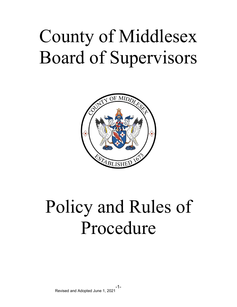# County of Middlesex Board of Supervisors



# Policy and Rules of Procedure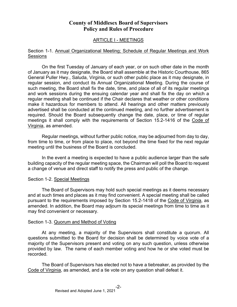## **County of Middlesex Board of Supervisors Policy and Rules of Procedure**

## ARTICLE I - MEETINGS

#### Section 1-1. Annual Organizational Meeting; Schedule of Regular Meetings and Work Sessions

On the first Tuesday of January of each year, or on such other date in the month of January as it may designate, the Board shall assemble at the Historic Courthouse, 865 General Puller Hwy., Saluda, Virginia, or such other public place as it may designate, in regular session, and conduct its Annual Organizational Meeting. During the course of such meeting, the Board shall fix the date, time, and place of all of its regular meetings and work sessions during the ensuing calendar year and shall fix the day on which a regular meeting shall be continued if the Chair declares that weather or other conditions make it hazardous for members to attend. All hearings and other matters previously advertised shall be conducted at the continued meeting, and no further advertisement is required. Should the Board subsequently change the date, place, or time of regular meetings it shall comply with the requirements of Section 15.2-1416 of the Code of Virginia, as amended.

Regular meetings, without further public notice, may be adjourned from day to day, from time to time, or from place to place, not beyond the time fixed for the next regular meeting until the business of the Board is concluded.

In the event a meeting is expected to have a public audience larger than the safe building capacity of the regular meeting space, the Chairman will poll the Board to request a change of venue and direct staff to notify the press and public of the change.

#### Section 1-2. Special Meetings

The Board of Supervisors may hold such special meetings as it deems necessary and at such times and places as it may find convenient. A special meeting shall be called pursuant to the requirements imposed by Section 15.2-1418 of the Code of Virginia, as amended. In addition, the Board may adjourn its special meetings from time to time as it may find convenient or necessary.

#### Section 1-3. Quorum and Method of Voting

At any meeting, a majority of the Supervisors shall constitute a quorum. All questions submitted to the Board for decision shall be determined by voice vote of a majority of the Supervisors present and voting on any such question, unless otherwise provided by law. The name of each member voting and how he or she voted must be recorded.

The Board of Supervisors has elected not to have a tiebreaker, as provided by the Code of Virginia, as amended, and a tie vote on any question shall defeat it.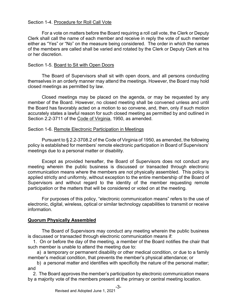## Section 1-4. Procedure for Roll Call Vote

For a vote on matters before the Board requiring a roll call vote, the Clerk or Deputy Clerk shall call the name of each member and receive in reply the vote of such member either as "Yes" or "No" on the measure being considered. The order in which the names of the members are called shall be varied and rotated by the Clerk or Deputy Clerk at his or her discretion.

## Section 1-5. Board to Sit with Open Doors

The Board of Supervisors shall sit with open doors, and all persons conducting themselves in an orderly manner may attend the meetings. However, the Board may hold closed meetings as permitted by law.

Closed meetings may be placed on the agenda, or may be requested by any member of the Board. However, no closed meeting shall be convened unless and until the Board has favorably acted on a motion to so convene, and, then, only if such motion accurately states a lawful reason for such closed meeting as permitted by and outlined in Section 2.2-3711 of the Code of Virginia, 1950, as amended.

## Section 1-6. Remote Electronic Participation in Meetings

Pursuant to § 2.2-3708.2 of the Code of Virginia of 1950, as amended, the following policy is established for members' remote electronic participation in Board of Supervisors' meetings due to a personal matter or disability.

Except as provided hereafter, the Board of Supervisors does not conduct any meeting wherein the public business is discussed or transacted through electronic communication means where the members are not physically assembled. This policy is applied strictly and uniformly, without exception to the entire membership of the Board of Supervisors and without regard to the identity of the member requesting remote participation or the matters that will be considered or voted on at the meeting.

For purposes of this policy, "electronic communication means" refers to the use of electronic, digital, wireless, optical or similar technology capabilities to transmit or receive information.

## **Quorum Physically Assembled**

The Board of Supervisors may conduct any meeting wherein the public business is discussed or transacted through electronic communication means if:

 1. On or before the day of the meeting, a member of the Board notifies the chair that such member is unable to attend the meeting due to:

 a) a temporary or permanent disability or other medical condition, or due to a family member's medical condition, that prevents the member's physical attendance; or

 b) a personal matter and identifies with specificity the nature of the personal matter; and

 2. The Board approves the member's participation by electronic communication means by a majority vote of the members present at the primary or central meeting location.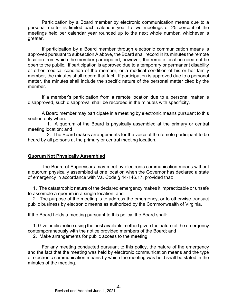Participation by a Board member by electronic communication means due to a personal matter is limited each calendar year to two meetings or 25 percent of the meetings held per calendar year rounded up to the next whole number, whichever is greater.

If participation by a Board member through electronic communication means is approved pursuant to subsection A above, the Board shall record in its minutes the remote location from which the member participated; however, the remote location need not be open to the public. If participation is approved due to a temporary or permanent disability or other medical condition of the member, or a medical condition of his or her family member, the minutes shall record that fact. If participation is approved due to a personal matter, the minutes shall include the specific nature of the personal matter cited by the member.

If a member's participation from a remote location due to a personal matter is disapproved, such disapproval shall be recorded in the minutes with specificity.

A Board member may participate in a meeting by electronic means pursuant to this section only when:

 1. A quorum of the Board is physically assembled at the primary or central meeting location; and

 2. The Board makes arrangements for the voice of the remote participant to be heard by all persons at the primary or central meeting location.

## **Quorum Not Physically Assembled**

The Board of Supervisors may meet by electronic communication means without a quorum physically assembled at one location when the Governor has declared a state of emergency in accordance with Va. Code § 44-146.17, provided that:

 1. The catastrophic nature of the declared emergency makes it impracticable or unsafe to assemble a quorum in a single location; and

 2. The purpose of the meeting is to address the emergency, or to otherwise transact public business by electronic means as authorized by the Commonwealth of Virginia.

If the Board holds a meeting pursuant to this policy, the Board shall:

 1. Give public notice using the best available method given the nature of the emergency contemporaneously with the notice provided members of the Board; and

2. Make arrangements for public access to the meeting.

For any meeting conducted pursuant to this policy, the nature of the emergency and the fact that the meeting was held by electronic communication means and the type of electronic communication means by which the meeting was held shall be stated in the minutes of the meeting.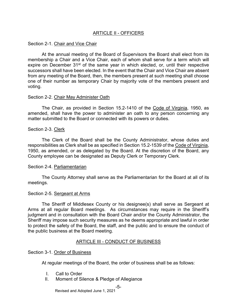## ARTICLE II - OFFICERS

#### Section 2-1. Chair and Vice Chair

At the annual meeting of the Board of Supervisors the Board shall elect from its membership a Chair and a Vice Chair, each of whom shall serve for a term which will expire on December 31<sup>st</sup> of the same year in which elected, or, until their respective successors shall have been elected. In the event that the Chair and Vice Chair are absent from any meeting of the Board, then, the members present at such meeting shall choose one of their number as temporary Chair by majority vote of the members present and voting.

#### Section 2-2. Chair May Administer Oath

The Chair, as provided in Section 15.2-1410 of the Code of Virginia, 1950, as amended, shall have the power to administer an oath to any person concerning any matter submitted to the Board or connected with its powers or duties.

#### Section 2-3. Clerk

The Clerk of the Board shall be the County Administrator, whose duties and responsibilities as Clerk shall be as specified in Section 15.2-1539 of the Code of Virginia, 1950, as amended, or as delegated by the Board. At the discretion of the Board, any County employee can be designated as Deputy Clerk or Temporary Clerk.

#### Section 2-4. Parliamentarian

The County Attorney shall serve as the Parliamentarian for the Board at all of its meetings.

#### Section 2-5. Sergeant at Arms

The Sheriff of Middlesex County or his designee(s) shall serve as Sergeant at Arms at all regular Board meetings. As circumstances may require in the Sheriff's judgment and in consultation with the Board Chair and/or the County Administrator, the Sheriff may impose such security measures as he deems appropriate and lawful in order to protect the safety of the Board, the staff, and the public and to ensure the conduct of the public business at the Board meeting.

#### ARTICLE III - CONDUCT OF BUSINESS

#### Section 3-1. Order of Business

At regular meetings of the Board, the order of business shall be as follows:

- I. Call to Order
- II. Moment of Silence & Pledge of Allegiance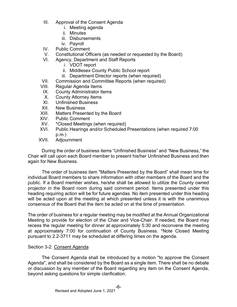- III. Approval of the Consent Agenda
	- i. Meeting agenda
	- ii. Minutes
	- iii. Disbursements
	- iv. Payroll
- IV. Public Comment
- V. Constitutional Officers (as needed or requested by the Board)
- VI. Agency, Department and Staff Reports
	- i. VDOT report
	- ii. Middlesex County Public School report
	- iii. Department Director reports (when required)
- VII. Commission and Committee Reports (when required)
- VIII. Regular Agenda Items
- IX. County Administrator Items
- X. County Attorney Items<br>XI. Unfinished Business
- Unfinished Business
- XII. New Business
- XIII. Matters Presented by the Board
- XIV. Public Comment<br>XV. \*Closed Meetings
- \*Closed Meetings (when required)
- XVI. Public Hearings and/or Scheduled Presentations (when required 7:00 p.m.)
- XVII. Adjournment

During the order of business items "Unfinished Business" and "New Business," the Chair will call upon each Board member to present his/her Unfinished Business and then again for New Business.

The order of business item "Matters Presented by the Board" shall mean time for individual Board members to share information with other members of the Board and the public. If a Board member wishes, he/she shall be allowed to utilize the County owned projector in the Board room during said comment period. Items presented under this heading requiring action will be for future agendas. No item presented under this heading will be acted upon at the meeting at which presented unless it is with the unanimous consensus of the Board that the item be acted on at the time of presentation.

The order of business for a regular meeting may be modified at the Annual Organizational Meeting to provide for election of the Chair and Vice-Chair. If needed, the Board may recess the regular meeting for dinner at approximately 5:30 and reconvene the meeting at approximately 7:00 for continuation of County Business. \*Note Closed Meeting pursuant to 2.2-3711 may be scheduled at differing times on the agenda.

#### Section 3-2. Consent Agenda

The Consent Agenda shall be introduced by a motion "to approve the Consent Agenda", and shall be considered by the Board as a single item. There shall be no debate or discussion by any member of the Board regarding any item on the Consent Agenda, beyond asking questions for simple clarification.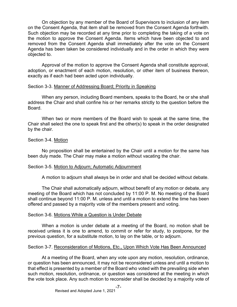On objection by any member of the Board of Supervisors to inclusion of any item on the Consent Agenda, that item shall be removed from the Consent Agenda forthwith. Such objection may be recorded at any time prior to completing the taking of a vote on the motion to approve the Consent Agenda. Items which have been objected to and removed from the Consent Agenda shall immediately after the vote on the Consent Agenda has been taken be considered individually and in the order in which they were objected to.

Approval of the motion to approve the Consent Agenda shall constitute approval, adoption, or enactment of each motion, resolution, or other item of business thereon, exactly as if each had been acted upon individually.

#### Section 3-3. Manner of Addressing Board; Priority in Speaking

When any person, including Board members, speaks to the Board, he or she shall address the Chair and shall confine his or her remarks strictly to the question before the Board.

When two or more members of the Board wish to speak at the same time, the Chair shall select the one to speak first and the other(s) to speak in the order designated by the chair.

#### Section 3-4. Motion

No proposition shall be entertained by the Chair until a motion for the same has been duly made. The Chair may make a motion without vacating the chair.

#### Section 3-5. Motion to Adjourn; Automatic Adjournment

A motion to adjourn shall always be in order and shall be decided without debate.

The Chair shall automatically adjourn, without benefit of any motion or debate, any meeting of the Board which has not concluded by 11:00 P. M. No meeting of the Board shall continue beyond 11:00 P. M. unless and until a motion to extend the time has been offered and passed by a majority vote of the members present and voting.

#### Section 3-6. Motions While a Question is Under Debate

When a motion is under debate at a meeting of the Board, no motion shall be received unless it is one to amend, to commit or refer for study, to postpone, for the previous question, for a substitute motion, to lay on the table, or to adjourn.

#### Section 3-7. Reconsideration of Motions, Etc., Upon Which Vote Has Been Announced

At a meeting of the Board, when any vote upon any motion, resolution, ordinance, or question has been announced, it may not be reconsidered unless and until a motion to that effect is presented by a member of the Board who voted with the prevailing side when such motion, resolution, ordinance, or question was considered at the meeting in which the vote took place. Any such motion to reconsider shall be decided by a majority vote of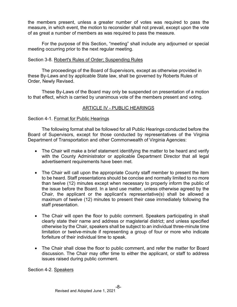the members present, unless a greater number of votes was required to pass the measure, in which event, the motion to reconsider shall not prevail, except upon the vote of as great a number of members as was required to pass the measure.

For the purpose of this Section, "meeting" shall include any adjourned or special meeting occurring prior to the next regular meeting.

## Section 3-8. Robert's Rules of Order; Suspending Rules

The proceedings of the Board of Supervisors, except as otherwise provided in these By-Laws and by applicable State law, shall be governed by Roberts Rules of Order, Newly Revised.

These By-Laws of the Board may only be suspended on presentation of a motion to that effect, which is carried by unanimous vote of the members present and voting.

## ARTICLE IV - PUBLIC HEARINGS

## Section 4-1. Format for Public Hearings

The following format shall be followed for all Public Hearings conducted before the Board of Supervisors, except for those conducted by representatives of the Virginia Department of Transportation and other Commonwealth of Virginia Agencies:

- The Chair will make a brief statement identifying the matter to be heard and verify with the County Administrator or applicable Department Director that all legal advertisement requirements have been met.
- The Chair will call upon the appropriate County staff member to present the item to be heard. Staff presentations should be concise and normally limited to no more than twelve (12) minutes except when necessary to properly inform the public of the issue before the Board. In a land use matter, unless otherwise agreed by the Chair, the applicant or the applicant's representative(s) shall be allowed a maximum of twelve (12) minutes to present their case immediately following the staff presentation.
- The Chair will open the floor to public comment. Speakers participating in shall clearly state their name and address or magisterial district; and unless specified otherwise by the Chair, speakers shall be subject to an individual three-minute time limitation or twelve-minute if representing a group of four or more who indicate forfeiture of their individual time to speak.
- The Chair shall close the floor to public comment, and refer the matter for Board discussion. The Chair may offer time to either the applicant, or staff to address issues raised during public comment.

Section 4-2. Speakers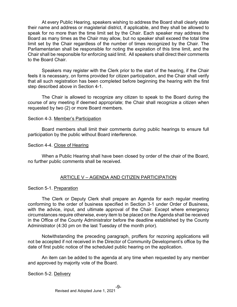At every Public Hearing, speakers wishing to address the Board shall clearly state their name and address or magisterial district, if applicable, and they shall be allowed to speak for no more than the time limit set by the Chair. Each speaker may address the Board as many times as the Chair may allow, but no speaker shall exceed the total time limit set by the Chair regardless of the number of times recognized by the Chair. The Parliamentarian shall be responsible for noting the expiration of this time limit, and the Chair shall be responsible for enforcing said limit. All speakers shall direct their comments to the Board Chair.

Speakers may register with the Clerk prior to the start of the hearing, if the Chair feels it is necessary, on forms provided for citizen participation, and the Chair shall verify that all such registration has been completed before beginning the hearing with the first step described above in Section 4-1.

The Chair is allowed to recognize any citizen to speak to the Board during the course of any meeting if deemed appropriate; the Chair shall recognize a citizen when requested by two (2) or more Board members.

#### Section 4-3. Member's Participation

Board members shall limit their comments during public hearings to ensure full participation by the public without Board interference.

#### Section 4-4. Close of Hearing

When a Public Hearing shall have been closed by order of the chair of the Board, no further public comments shall be received.

#### ARTICLE V – AGENDA AND CITIZEN PARTICIPATION

#### Section 5-1. Preparation

The Clerk or Deputy Clerk shall prepare an Agenda for each regular meeting conforming to the order of business specified in Section 3-1 under Order of Business, with the advice, input, and ultimate approval of the Chair. Except where emergency circumstances require otherwise, every item to be placed on the Agenda shall be received in the Office of the County Administrator before the deadline established by the County Administrator (4:30 pm on the last Tuesday of the month prior).

Notwithstanding the preceding paragraph, proffers for rezoning applications will not be accepted if not received in the Director of Community Development's office by the date of first public notice of the scheduled public hearing on the application.

An item can be added to the agenda at any time when requested by any member and approved by majority vote of the Board.

#### Section 5-2. Delivery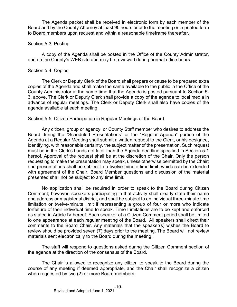The Agenda packet shall be received in electronic form by each member of the Board and by the County Attorney at least 90 hours prior to the meeting or in printed form to Board members upon request and within a reasonable timeframe thereafter.

## Section 5-3. Posting

A copy of the Agenda shall be posted in the Office of the County Administrator, and on the County's WEB site and may be reviewed during normal office hours.

## Section 5-4. Copies

The Clerk or Deputy Clerk of the Board shall prepare or cause to be prepared extra copies of the Agenda and shall make the same available to the public in the Office of the County Administrator at the same time that the Agenda is posted pursuant to Section 5- 3, above. The Clerk or Deputy Clerk shall provide a copy of the agenda to local media in advance of regular meetings. The Clerk or Deputy Clerk shall also have copies of the agenda available at each meeting.

## Section 5-5. Citizen Participation in Regular Meetings of the Board

Any citizen, group or agency, or County Staff member who desires to address the Board during the "Scheduled Presentations" or the "Regular Agenda" portion of the Agenda at a Regular Meeting shall submit a written request to the Clerk, or his designee, identifying, with reasonable certainty, the subject matter of the presentation. Such request must be in the Clerk's hands not later than the Agenda deadline specified in Section 5-1 hereof. Approval of the request shall be at the discretion of the Chair. Only the person requesting to make the presentation may speak, unless otherwise permitted by the Chair; and presentations shall be subject to a twelve-minute time limit, which can be extended with agreement of the Chair. Board Member questions and discussion of the material presented shall not be subject to any time limit.

No application shall be required in order to speak to the Board during Citizen Comment; however, speakers participating in that activity shall clearly state their name and address or magisterial district, and shall be subject to an individual three-minute time limitation or twelve-minute limit if representing a group of four or more who indicate forfeiture of their individual time to speak. Time Limitations are to be kept and enforced as stated in Article IV hereof. Each speaker at a Citizen Comment period shall be limited to one appearance at each regular meeting of the Board. All speakers shall direct their comments to the Board Chair. Any materials that the speaker(s) wishes the Board to review should be provided seven (7) days prior to the meeting. The Board will not review materials sent electronically to the Board during the meeting.

The staff will respond to questions asked during the Citizen Comment section of the agenda at the direction of the consensus of the Board.

The Chair is allowed to recognize any citizen to speak to the Board during the course of any meeting if deemed appropriate, and the Chair shall recognize a citizen when requested by two (2) or more Board members.